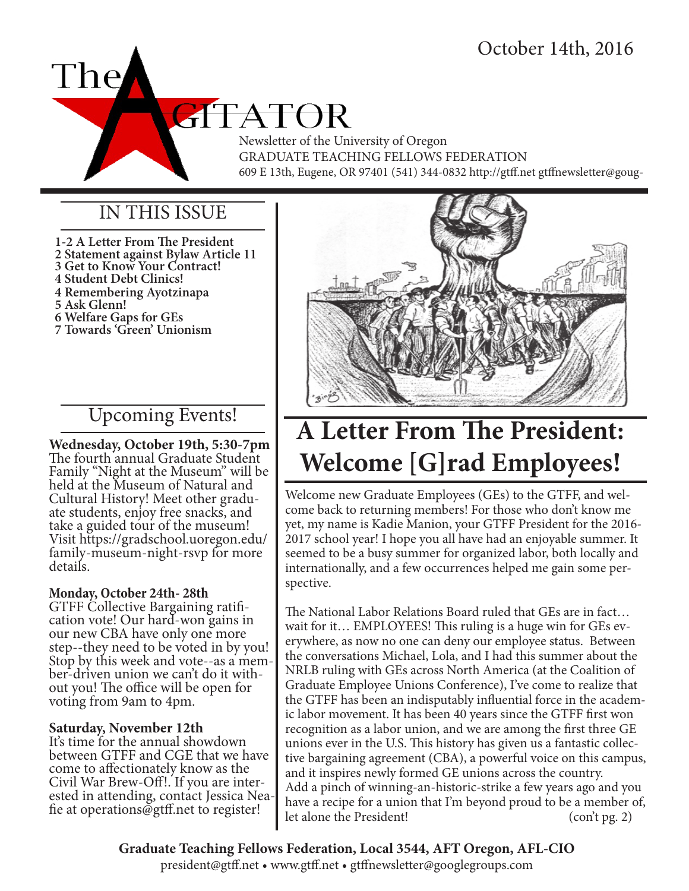

Newsletter of the University of Oregon GRADUATE TEACHING FELLOWS FEDERATION 609 E 13th, Eugene, OR 97401 (541) 344-0832 http://gtff.net gtffnewsletter@goug-

### IN THIS ISSUE

**1-2 A Letter From The President 2 Statement against Bylaw Article 11 3 Get to Know Your Contract! 4 Student Debt Clinics! 4 Remembering Ayotzinapa 5 Ask Glenn! 6 Welfare Gaps for GEs 7 Towards 'Green' Unionism**

### Upcoming Events!

**Wednesday, October 19th, 5:30-7pm** The fourth annual Graduate Student Family "Night at the Museum" will be held at the Museum of Natural and Cultural History! Meet other gradu- ate students, enjoy free snacks, and take a guided tour of the museum! Visit https://gradschool.uoregon.edu/ family-museum-night-rsvp for more details.

### **Monday, October 24th- 28th**

GTFF Collective Bargaining ratifi- cation vote! Our hard-won gains in our new CBA have only one more step--they need to be voted in by you! Stop by this week and vote--as a mem- ber-driven union we can't do it with- out you! The office will be open for voting from 9am to 4pm.

### **Saturday, November 12th**

It's time for the annual showdown between GTFF and CGE that we have come to affectionately know as the Civil War Brew-Off!. If you are inter- ested in attending, contact Jessica Nea- fie at operations@gtff.net to register!



# **A Letter From The President: Welcome [G]rad Employees!**

Welcome new Graduate Employees (GEs) to the GTFF, and welcome back to returning members! For those who don't know me yet, my name is Kadie Manion, your GTFF President for the 2016- 2017 school year! I hope you all have had an enjoyable summer. It seemed to be a busy summer for organized labor, both locally and internationally, and a few occurrences helped me gain some perspective.

The National Labor Relations Board ruled that GEs are in fact… wait for it… EMPLOYEES! This ruling is a huge win for GEs everywhere, as now no one can deny our employee status. Between the conversations Michael, Lola, and I had this summer about the NRLB ruling with GEs across North America (at the Coalition of Graduate Employee Unions Conference), I've come to realize that the GTFF has been an indisputably influential force in the academic labor movement. It has been 40 years since the GTFF first won recognition as a labor union, and we are among the first three GE unions ever in the U.S. This history has given us a fantastic collective bargaining agreement (CBA), a powerful voice on this campus, and it inspires newly formed GE unions across the country. Add a pinch of winning-an-historic-strike a few years ago and you have a recipe for a union that I'm beyond proud to be a member of, let alone the President! (con't pg. 2)

**Graduate Teaching Fellows Federation, Local 3544, AFT Oregon, AFL-CIO** president@gtff.net • www.gtff.net • gtffnewsletter@googlegroups.com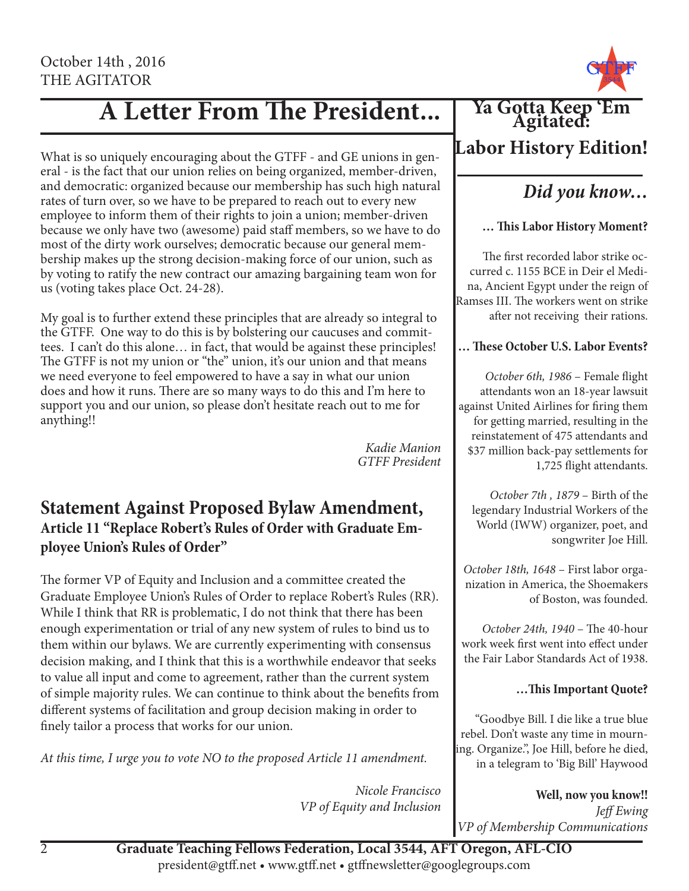# **A Letter From The President...**

What is so uniquely encouraging about the GTFF - and GE unions in general - is the fact that our union relies on being organized, member-driven, and democratic: organized because our membership has such high natural rates of turn over, so we have to be prepared to reach out to every new employee to inform them of their rights to join a union; member-driven because we only have two (awesome) paid staff members, so we have to do most of the dirty work ourselves; democratic because our general membership makes up the strong decision-making force of our union, such as by voting to ratify the new contract our amazing bargaining team won for us (voting takes place Oct. 24-28).

My goal is to further extend these principles that are already so integral to the GTFF. One way to do this is by bolstering our caucuses and committees. I can't do this alone… in fact, that would be against these principles! The GTFF is not my union or "the" union, it's our union and that means we need everyone to feel empowered to have a say in what our union does and how it runs. There are so many ways to do this and I'm here to support you and our union, so please don't hesitate reach out to me for anything!!

*Kadie Manion GTFF President*

### **Statement Against Proposed Bylaw Amendment, Article 11 "Replace Robert's Rules of Order with Graduate Employee Union's Rules of Order"**

The former VP of Equity and Inclusion and a committee created the Graduate Employee Union's Rules of Order to replace Robert's Rules (RR). While I think that RR is problematic, I do not think that there has been enough experimentation or trial of any new system of rules to bind us to them within our bylaws. We are currently experimenting with consensus decision making, and I think that this is a worthwhile endeavor that seeks to value all input and come to agreement, rather than the current system of simple majority rules. We can continue to think about the benefits from different systems of facilitation and group decision making in order to finely tailor a process that works for our union.

*At this time, I urge you to vote NO to the proposed Article 11 amendment.*

*Nicole Francisco VP of Equity and Inclusion*



### **Labor History Edition!**

### *Did you know…*

### **… This Labor History Moment?**

The first recorded labor strike occurred c. 1155 BCE in Deir el Medina, Ancient Egypt under the reign of Ramses III. The workers went on strike after not receiving their rations.

### **… These October U.S. Labor Events?**

*October 6th, 1986* – Female flight attendants won an 18-year lawsuit against United Airlines for firing them for getting married, resulting in the reinstatement of 475 attendants and \$37 million back-pay settlements for 1,725 flight attendants.

*October 7th , 1879* – Birth of the legendary Industrial Workers of the World (IWW) organizer, poet, and songwriter Joe Hill.

*October 18th, 1648* – First labor organization in America, the Shoemakers of Boston, was founded.

*October 24th, 1940* – The 40-hour work week first went into effect under the Fair Labor Standards Act of 1938.

### **…This Important Quote?**

"Goodbye Bill. I die like a true blue rebel. Don't waste any time in mourning. Organize.", Joe Hill, before he died, in a telegram to 'Big Bill' Haywood

**Well, now you know!!** *Jeff Ewing VP of Membership Communications*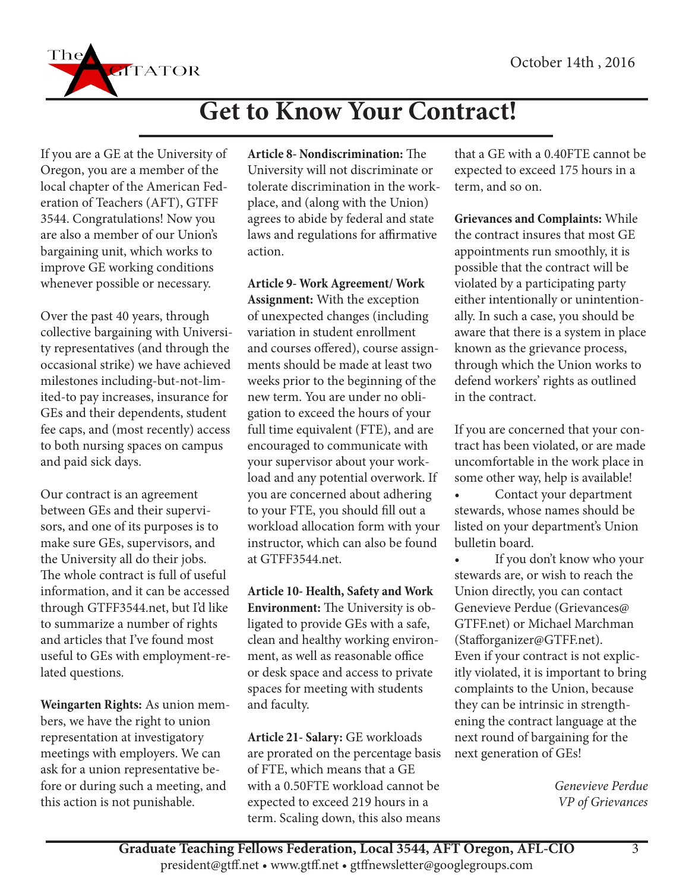

# **Get to Know Your Contract!**

If you are a GE at the University of Oregon, you are a member of the local chapter of the American Federation of Teachers (AFT), GTFF 3544. Congratulations! Now you are also a member of our Union's bargaining unit, which works to improve GE working conditions whenever possible or necessary.

Over the past 40 years, through collective bargaining with University representatives (and through the occasional strike) we have achieved milestones including-but-not-limited-to pay increases, insurance for GEs and their dependents, student fee caps, and (most recently) access to both nursing spaces on campus and paid sick days.

Our contract is an agreement between GEs and their supervisors, and one of its purposes is to make sure GEs, supervisors, and the University all do their jobs. The whole contract is full of useful information, and it can be accessed through GTFF3544.net, but I'd like to summarize a number of rights and articles that I've found most useful to GEs with employment-related questions.

**Weingarten Rights:** As union members, we have the right to union representation at investigatory meetings with employers. We can ask for a union representative before or during such a meeting, and this action is not punishable.

**Article 8- Nondiscrimination:** The University will not discriminate or tolerate discrimination in the workplace, and (along with the Union) agrees to abide by federal and state laws and regulations for affirmative action.

**Article 9- Work Agreement/ Work Assignment:** With the exception of unexpected changes (including variation in student enrollment and courses offered), course assignments should be made at least two weeks prior to the beginning of the new term. You are under no obligation to exceed the hours of your full time equivalent (FTE), and are encouraged to communicate with your supervisor about your workload and any potential overwork. If you are concerned about adhering to your FTE, you should fill out a workload allocation form with your instructor, which can also be found at GTFF3544.net.

**Article 10- Health, Safety and Work Environment:** The University is obligated to provide GEs with a safe, clean and healthy working environment, as well as reasonable office or desk space and access to private spaces for meeting with students and faculty.

**Article 21- Salary:** GE workloads are prorated on the percentage basis of FTE, which means that a GE with a 0.50FTE workload cannot be expected to exceed 219 hours in a term. Scaling down, this also means that a GE with a 0.40FTE cannot be expected to exceed 175 hours in a term, and so on.

**Grievances and Complaints:** While the contract insures that most GE appointments run smoothly, it is possible that the contract will be violated by a participating party either intentionally or unintentionally. In such a case, you should be aware that there is a system in place known as the grievance process, through which the Union works to defend workers' rights as outlined in the contract.

If you are concerned that your contract has been violated, or are made uncomfortable in the work place in some other way, help is available!

Contact your department stewards, whose names should be listed on your department's Union bulletin board.

If you don't know who your stewards are, or wish to reach the Union directly, you can contact Genevieve Perdue (Grievances@ GTFF.net) or Michael Marchman (Stafforganizer@GTFF.net). Even if your contract is not explicitly violated, it is important to bring complaints to the Union, because they can be intrinsic in strengthening the contract language at the next round of bargaining for the next generation of GEs!

> *Genevieve Perdue VP of Grievances*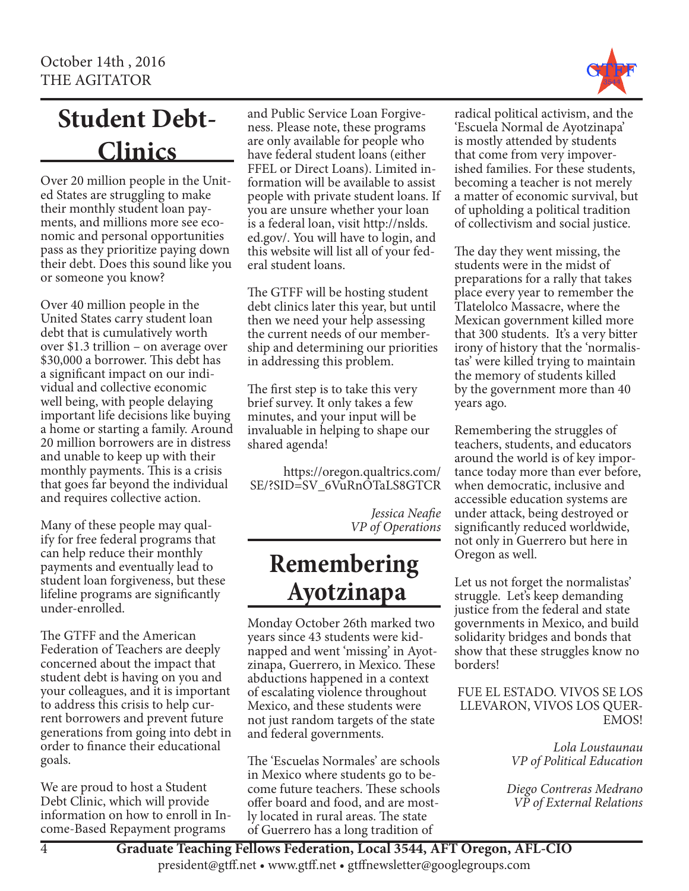

# **Student Debt-Clinics**

Over 20 million people in the United States are struggling to make their monthly student loan payments, and millions more see economic and personal opportunities pass as they prioritize paying down their debt. Does this sound like you or someone you know?

Over 40 million people in the United States carry student loan debt that is cumulatively worth over \$1.3 trillion – on average over \$30,000 a borrower. This debt has a significant impact on our individual and collective economic well being, with people delaying important life decisions like buying a home or starting a family. Around 20 million borrowers are in distress and unable to keep up with their monthly payments. This is a crisis that goes far beyond the individual and requires collective action.

Many of these people may qualify for free federal programs that can help reduce their monthly payments and eventually lead to student loan forgiveness, but these lifeline programs are significantly under-enrolled.

The GTFF and the American Federation of Teachers are deeply concerned about the impact that student debt is having on you and your colleagues, and it is important to address this crisis to help current borrowers and prevent future generations from going into debt in order to finance their educational goals.

We are proud to host a Student Debt Clinic, which will provide information on how to enroll in Income-Based Repayment programs

and Public Service Loan Forgiveness. Please note, these programs are only available for people who have federal student loans (either FFEL or Direct Loans). Limited information will be available to assist people with private student loans. If you are unsure whether your loan is a federal loan, visit http://nslds. ed.gov/. You will have to login, and this website will list all of your federal student loans.

The GTFF will be hosting student debt clinics later this year, but until then we need your help assessing the current needs of our membership and determining our priorities in addressing this problem.

The first step is to take this very brief survey. It only takes a few minutes, and your input will be invaluable in helping to shape our shared agenda!

https://oregon.qualtrics.com/ SE/?SID=SV\_6VuRnOTaLS8GTCR

> *Jessica Neafie VP of Operations*

## **Remembering Ayotzinapa**

Monday October 26th marked two years since 43 students were kidnapped and went 'missing' in Ayotzinapa, Guerrero, in Mexico. These abductions happened in a context of escalating violence throughout Mexico, and these students were not just random targets of the state and federal governments.

The 'Escuelas Normales' are schools in Mexico where students go to become future teachers. These schools offer board and food, and are mostly located in rural areas. The state of Guerrero has a long tradition of

radical political activism, and the 'Escuela Normal de Ayotzinapa' is mostly attended by students that come from very impoverished families. For these students, becoming a teacher is not merely a matter of economic survival, but of upholding a political tradition of collectivism and social justice.

The day they went missing, the students were in the midst of preparations for a rally that takes place every year to remember the Tlatelolco Massacre, where the Mexican government killed more that 300 students. It's a very bitter irony of history that the 'normalistas' were killed trying to maintain the memory of students killed by the government more than 40 years ago.

Remembering the struggles of teachers, students, and educators around the world is of key importance today more than ever before, when democratic, inclusive and accessible education systems are under attack, being destroyed or significantly reduced worldwide, not only in Guerrero but here in Oregon as well.

Let us not forget the normalistas' struggle. Let's keep demanding justice from the federal and state governments in Mexico, and build solidarity bridges and bonds that show that these struggles know no borders!

FUE EL ESTADO. VIVOS SE LOS LLEVARON, VIVOS LOS QUER-EMOS!

> *Lola Loustaunau VP of Political Education*

*Diego Contreras Medrano VP of External Relations*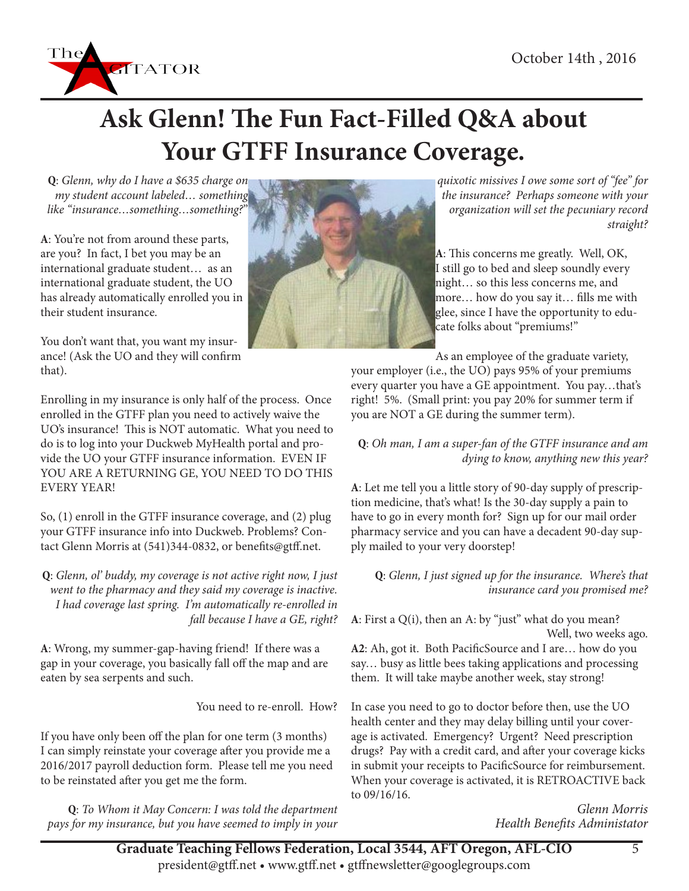

# **Ask Glenn! The Fun Fact-Filled Q&A about Your GTFF Insurance Coverage.**

**Q**: *Glenn, why do I have a \$635 charge on my student account labeled… something like "insurance…something…something?*"

**A**: You're not from around these parts, are you? In fact, I bet you may be an international graduate student… as an international graduate student, the UO has already automatically enrolled you in their student insurance.

You don't want that, you want my insurance! (Ask the UO and they will confirm that).

Enrolling in my insurance is only half of the process. Once enrolled in the GTFF plan you need to actively waive the UO's insurance! This is NOT automatic. What you need to do is to log into your Duckweb MyHealth portal and provide the UO your GTFF insurance information. EVEN IF YOU ARE A RETURNING GE, YOU NEED TO DO THIS EVERY YEAR!

So, (1) enroll in the GTFF insurance coverage, and (2) plug your GTFF insurance info into Duckweb. Problems? Contact Glenn Morris at (541)344-0832, or benefits@gtff.net.

**Q**: *Glenn, ol' buddy, my coverage is not active right now, I just went to the pharmacy and they said my coverage is inactive. I had coverage last spring. I'm automatically re-enrolled in fall because I have a GE, right?*

**A**: Wrong, my summer-gap-having friend! If there was a gap in your coverage, you basically fall off the map and are eaten by sea serpents and such.

You need to re-enroll. How?

If you have only been off the plan for one term (3 months) I can simply reinstate your coverage after you provide me a 2016/2017 payroll deduction form. Please tell me you need to be reinstated after you get me the form.

**Q**: *To Whom it May Concern: I was told the department pays for my insurance, but you have seemed to imply in your* 



*quixotic missives I owe some sort of "fee" for the insurance? Perhaps someone with your organization will set the pecuniary record straight?*

**A**: This concerns me greatly. Well, OK, I still go to bed and sleep soundly every night… so this less concerns me, and more… how do you say it… fills me with glee, since I have the opportunity to educate folks about "premiums!"

As an employee of the graduate variety, your employer (i.e., the UO) pays 95% of your premiums every quarter you have a GE appointment. You pay…that's right! 5%. (Small print: you pay 20% for summer term if you are NOT a GE during the summer term).

#### **Q**: *Oh man, I am a super-fan of the GTFF insurance and am dying to know, anything new this year?*

**A**: Let me tell you a little story of 90-day supply of prescription medicine, that's what! Is the 30-day supply a pain to have to go in every month for? Sign up for our mail order pharmacy service and you can have a decadent 90-day supply mailed to your very doorstep!

#### **Q**: *Glenn, I just signed up for the insurance. Where's that insurance card you promised me?*

**A**: First a Q(i), then an A: by "just" what do you mean? Well, two weeks ago.

**A2**: Ah, got it. Both PacificSource and I are… how do you say… busy as little bees taking applications and processing them. It will take maybe another week, stay strong!

In case you need to go to doctor before then, use the UO health center and they may delay billing until your coverage is activated. Emergency? Urgent? Need prescription drugs? Pay with a credit card, and after your coverage kicks in submit your receipts to PacificSource for reimbursement. When your coverage is activated, it is RETROACTIVE back to 09/16/16.

> *Glenn Morris Health Benefits Administator*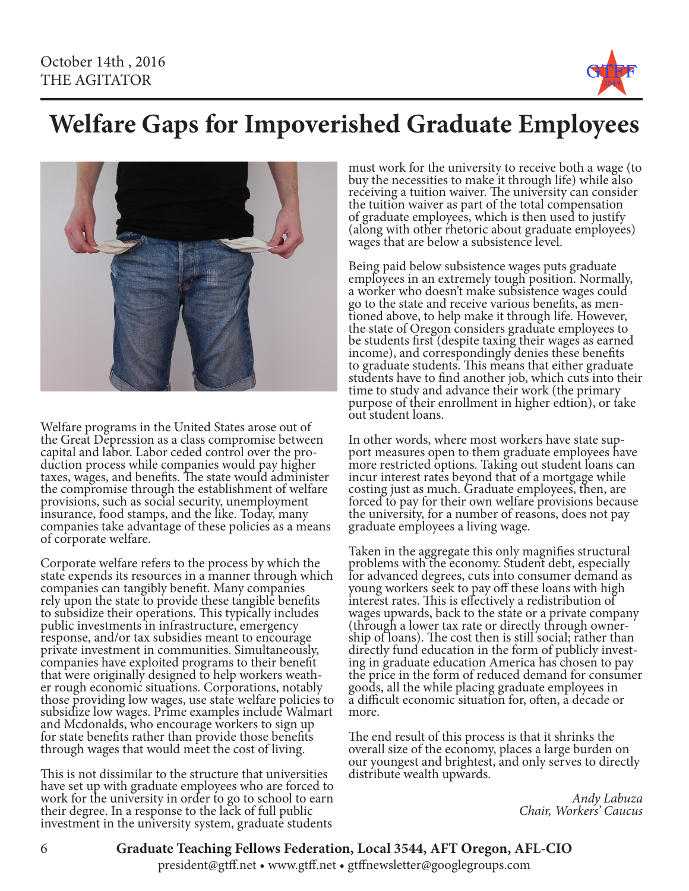

# **Welfare Gaps for Impoverished Graduate Employees**



Welfare programs in the United States arose out of the Great Depression as a class compromise between<br>capital and labor. Labor ceded control over the procapital and labor. Labor ceded control over the pro- duction process while companies would pay higher taxes, wages, and benefits. The state would administer the compromise through the establishment of welfare provisions, such as social security, unemployment insurance, food stamps, and the like. Today, many companies take advantage of these policies as a means of corporate welfare.

Corporate welfare refers to the process by which the state expends its resources in a manner through which companies can tangibly benefit. Many companies rely upon the state to provide these tangible benefits to subsidize their operations. This typically includes public investments in infrastructure, emergency response, and/or tax subsidies meant to encourage private investment in communities. Simultaneously, companies have exploited programs to their benefit<br>that were originally designed to help workers weather rough economic situations. Corporations, notably those providing low wages, use state welfare policies to subsidize low wages. Prime examples include Walmart and Mcdonalds, who encourage workers to sign up for state benefits rather than provide those benefits through wages that would meet the cost of living.

This is not dissimilar to the structure that universities have set up with graduate employees who are forced to work for the university in order to go to school to earn their degree. In a response to the lack of full public investment in the university system, graduate students

must work for the university to receive both a wage (to buy the necessities to make it through life) while also receiving a tuition waiver. The university can consider the tuition waiver as part of the total compensation of graduate employees, which is then used to justify (along with other rhetoric about graduate employees) wages that are below a subsistence level.

Being paid below subsistence wages puts graduate employees in an extremely tough position. Normally, a worker who doesn't make subsistence wages could<br>go to the state and receive various benefits, as mentioned above, to help make it through life. However, the state of Oregon considers graduate employees to be students first (despite taxing their wages as earned income), and correspondingly denies these benefits to graduate students. This means that either graduate students have to find another job, which cuts into their time to study and advance their work (the primary purpose of their enrollment in higher edtion), or take out student loans.

In other words, where most workers have state support measures open to them graduate employees have more restricted options. Taking out student loans can incur interest rates beyond that of a mortgage while costing just as much. Graduate employees, then, are forced to pay for their own welfare provisions because the university, for a number of reasons, does not pay graduate employees a living wage.

Taken in the aggregate this only magnifies structural problems with the economy. Student debt, especially for advanced degrees, cuts into consumer demand as young workers seek to pay off these loans with high interest rates. This is effectively a redistribution of wages upwards, back to the state or a private company (through a lower tax rate or directly through owner- ship of loans). The cost then is still social; rather than directly fund education in the form of publicly invest- ing in graduate education America has chosen to pay the price in the form of reduced demand for consumer goods, all the while placing graduate employees in a difficult economic situation for, often, a decade or more.

The end result of this process is that it shrinks the overall size of the economy, places a large burden on our youngest and brightest, and only serves to directly distribute wealth upwards.

*Andy Labuza Chair, Workers' Caucus* 

**Graduate Teaching Fellows Federation, Local 3544, AFT Oregon, AFL-CIO**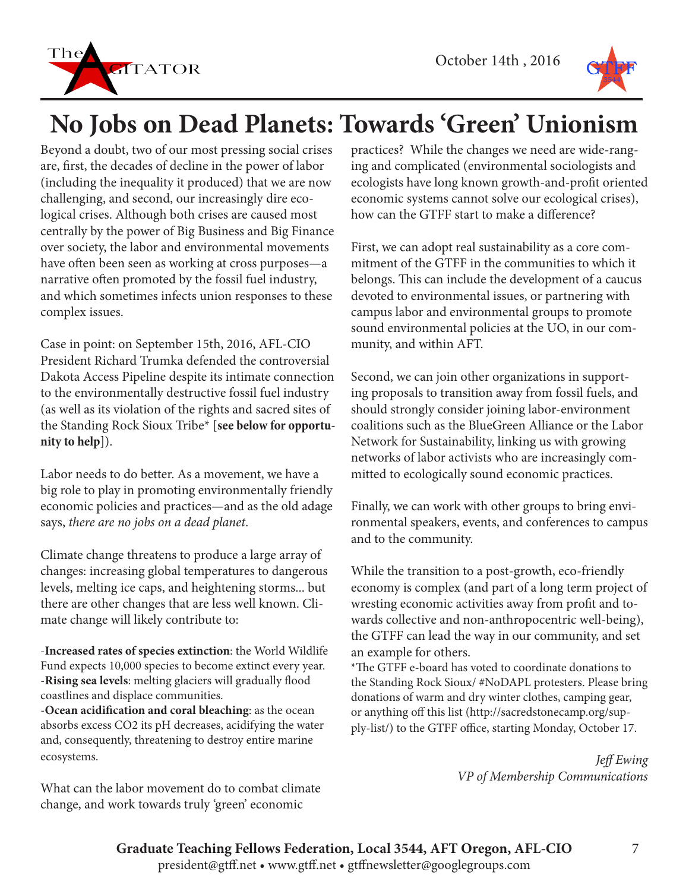



# **No Jobs on Dead Planets: Towards 'Green' Unionism**

Beyond a doubt, two of our most pressing social crises are, first, the decades of decline in the power of labor (including the inequality it produced) that we are now challenging, and second, our increasingly dire ecological crises. Although both crises are caused most centrally by the power of Big Business and Big Finance over society, the labor and environmental movements have often been seen as working at cross purposes—a narrative often promoted by the fossil fuel industry, and which sometimes infects union responses to these complex issues.

Case in point: on September 15th, 2016, AFL-CIO President Richard Trumka defended the controversial Dakota Access Pipeline despite its intimate connection to the environmentally destructive fossil fuel industry (as well as its violation of the rights and sacred sites of the Standing Rock Sioux Tribe\* [**see below for opportunity to help**]).

Labor needs to do better. As a movement, we have a big role to play in promoting environmentally friendly economic policies and practices—and as the old adage says, *there are no jobs on a dead planet*.

Climate change threatens to produce a large array of changes: increasing global temperatures to dangerous levels, melting ice caps, and heightening storms... but there are other changes that are less well known. Climate change will likely contribute to:

-**Increased rates of species extinction**: the World Wildlife Fund expects 10,000 species to become extinct every year. -**Rising sea levels**: melting glaciers will gradually flood coastlines and displace communities.

-**Ocean acidification and coral bleaching**: as the ocean absorbs excess CO2 its pH decreases, acidifying the water and, consequently, threatening to destroy entire marine ecosystems.

What can the labor movement do to combat climate change, and work towards truly 'green' economic

practices? While the changes we need are wide-ranging and complicated (environmental sociologists and ecologists have long known growth-and-profit oriented economic systems cannot solve our ecological crises), how can the GTFF start to make a difference?

First, we can adopt real sustainability as a core commitment of the GTFF in the communities to which it belongs. This can include the development of a caucus devoted to environmental issues, or partnering with campus labor and environmental groups to promote sound environmental policies at the UO, in our community, and within AFT.

Second, we can join other organizations in supporting proposals to transition away from fossil fuels, and should strongly consider joining labor-environment coalitions such as the BlueGreen Alliance or the Labor Network for Sustainability, linking us with growing networks of labor activists who are increasingly committed to ecologically sound economic practices.

Finally, we can work with other groups to bring environmental speakers, events, and conferences to campus and to the community.

While the transition to a post-growth, eco-friendly economy is complex (and part of a long term project of wresting economic activities away from profit and towards collective and non-anthropocentric well-being), the GTFF can lead the way in our community, and set an example for others.

\*The GTFF e-board has voted to coordinate donations to the Standing Rock Sioux/ #NoDAPL protesters. Please bring donations of warm and dry winter clothes, camping gear, or anything off this list (http://sacredstonecamp.org/supply-list/) to the GTFF office, starting Monday, October 17.

> *Jeff Ewing VP of Membership Communications*